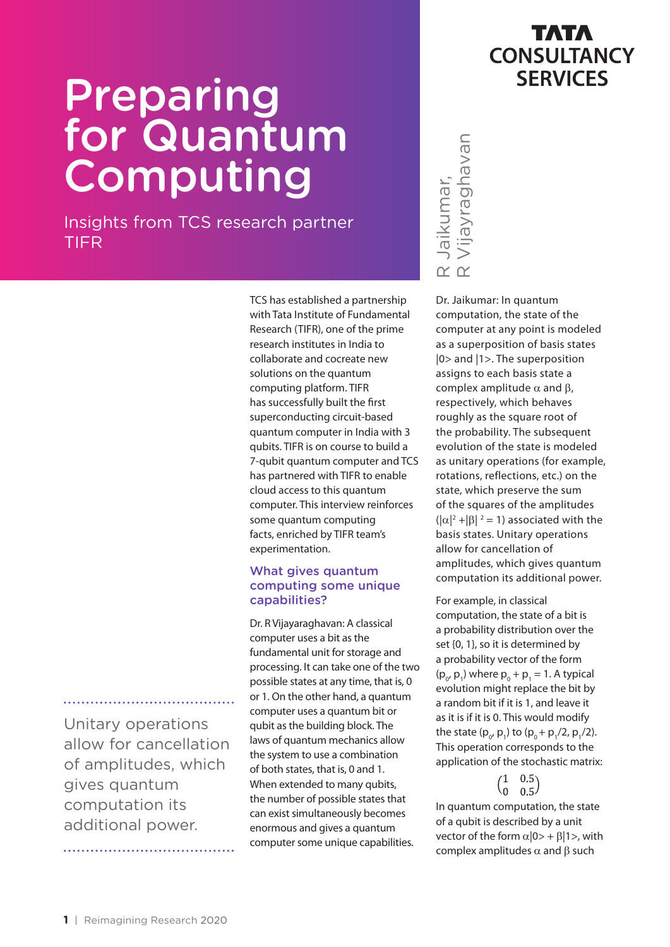# **Preparing** for Quantum Computing

Insights from TCS research partner TIFR

> TCS has established a partnership with Tata Institute of Fundamental Research (TIFR), one of the prime research institutes in India to collaborate and cocreate new solutions on the quantum computing platform. TIFR has successfully built the first superconducting circuit-based quantum computer in India with 3 qubits. TIFR is on course to build a 7-qubit quantum computer and TCS has partnered with TIFR to enable cloud access to this quantum computer. This interview reinforces some quantum computing facts, enriched by TIFR team's experimentation.

#### What gives quantum computing some unique capabilities?

Dr. R Vijayaraghavan: A classical computer uses a bit as the fundamental unit for storage and processing. It can take one of the two possible states at any time, that is, 0 or 1. On the other hand, a quantum computer uses a quantum bit or qubit as the building block. The laws of quantum mechanics allow the system to use a combination of both states, that is, 0 and 1. When extended to many qubits, the number of possible states that can exist simultaneously becomes enormous and gives a quantum computer some unique capabilities.



Dr. Jaikumar: In quantum computation, the state of the computer at any point is modeled as a superposition of basis states |0> and |1>. The superposition assigns to each basis state a complex amplitude  $α$  and  $β$ , respectively, which behaves roughly as the square root of the probability. The subsequent evolution of the state is modeled as unitary operations (for example, rotations, reflections, etc.) on the state, which preserve the sum of the squares of the amplitudes  $(|\alpha|^2 + |\beta|^2 = 1)$  associated with the basis states. Unitary operations allow for cancellation of amplitudes, which gives quantum computation its additional power. Complex amplitudes and positive the state of the computation, the state of the computation, the state of the computation, the state of the computation of basis states [0> and [1>. The superposition assigns to each basis

For example, in classical computation, the state of a bit is a probability distribution over the set {0, 1}, so it is determined by a probability vector of the form  $(p_{0}, p_{1})$  where  $p_{0} + p_{1} = 1$ . A typical evolution might replace the bit by a random bit if it is 1, and leave it as it is if it is 0. This would modify the state  $(p_{0'} p_1)$  to  $(p_0 + p_1/2, p_1/2)$ . This operation corresponds to the application of the stochastic matrix:

In quantum computation, the state of a qubit is described by a unit vector of the form  $\alpha$ |0> +  $\beta$ |1>, with

Unitary operations allow for cancellation of amplitudes, which gives quantum computation its additional power.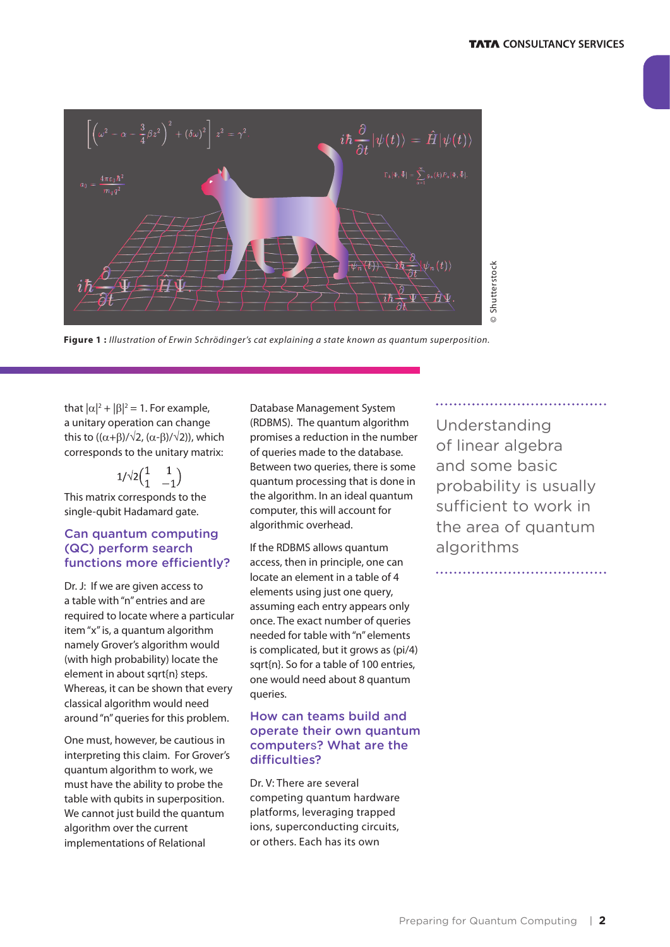

**Figure 1 :** *Illustration of Erwin Schrödinger's cat explaining a state known as quantum superposition.*

that  $|\alpha|^2 + |\beta|^2 = 1$ . For example, a unitary operation can change this to  $((\alpha+\beta)/\sqrt{2}, (\alpha-\beta)/\sqrt{2})$ , which corresponds to the unitary matrix:

 $1/\sqrt{2}(\begin{matrix} 1 & 1 \\ 1 & -1 \end{matrix})$ This matrix corresponds to the single-qubit Hadamard gate.

#### Can quantum computing (QC) perform search functions more efficiently?

Dr. J: If we are given access to a table with "n" entries and are required to locate where a particular item "x" is, a quantum algorithm namely Grover's algorithm would (with high probability) locate the element in about sqrt{n} steps. Whereas, it can be shown that every classical algorithm would need around "n" queries for this problem.

One must, however, be cautious in interpreting this claim. For Grover's quantum algorithm to work, we must have the ability to probe the table with qubits in superposition. We cannot just build the quantum algorithm over the current implementations of Relational

Database Management System (RDBMS). The quantum algorithm promises a reduction in the number of queries made to the database. Between two queries, there is some quantum processing that is done in the algorithm. In an ideal quantum computer, this will account for algorithmic overhead.

If the RDBMS allows quantum access, then in principle, one can locate an element in a table of 4 elements using just one query, assuming each entry appears only once. The exact number of queries needed for table with "n" elements is complicated, but it grows as (pi/4) sqrt{n}. So for a table of 100 entries, one would need about 8 quantum queries.

#### How can teams build and operate their own quantum computers? What are the difficulties?

Dr. V: There are several competing quantum hardware platforms, leveraging trapped ions, superconducting circuits, or others. Each has its own

Understanding of linear algebra and some basic probability is usually sufficient to work in the area of quantum algorithms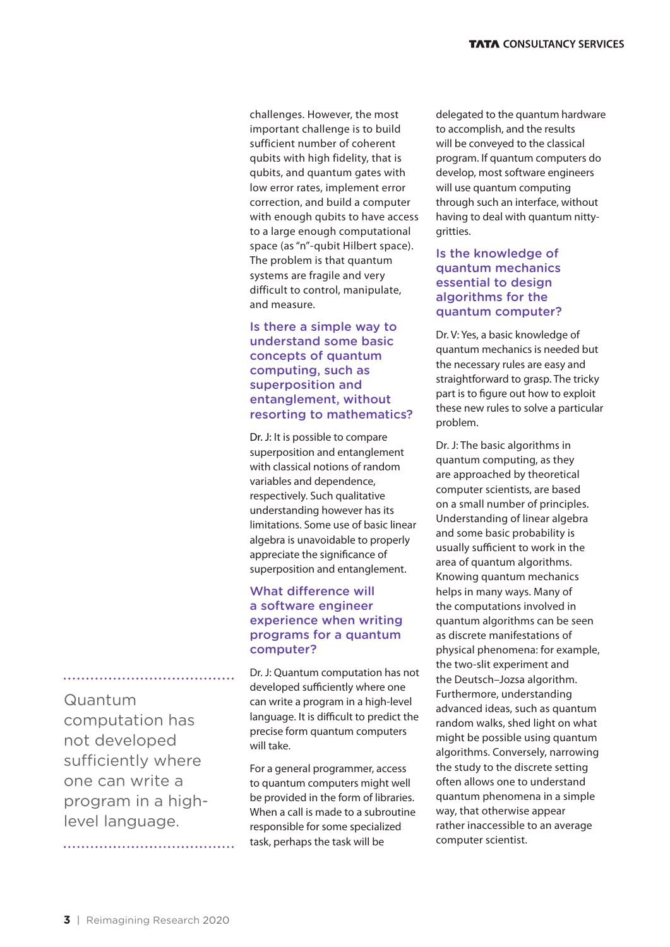challenges. However, the most important challenge is to build sufficient number of coherent qubits with high fidelity, that is qubits, and quantum gates with low error rates, implement error correction, and build a computer with enough qubits to have access to a large enough computational space (as "n"-qubit Hilbert space). The problem is that quantum systems are fragile and very difficult to control, manipulate, and measure.

#### Is there a simple way to understand some basic concepts of quantum computing, such as superposition and entanglement, without resorting to mathematics?

Dr. J: It is possible to compare superposition and entanglement with classical notions of random variables and dependence, respectively. Such qualitative understanding however has its limitations. Some use of basic linear algebra is unavoidable to properly appreciate the significance of superposition and entanglement.

#### What difference will a software engineer experience when writing programs for a quantum computer?

Dr. J: Quantum computation has not developed sufficiently where one can write a program in a high-level language. It is difficult to predict the precise form quantum computers will take.

For a general programmer, access to quantum computers might well be provided in the form of libraries. When a call is made to a subroutine responsible for some specialized task, perhaps the task will be

delegated to the quantum hardware to accomplish, and the results will be conveyed to the classical program. If quantum computers do develop, most software engineers will use quantum computing through such an interface, without having to deal with quantum nittygritties.

#### Is the knowledge of quantum mechanics essential to design algorithms for the quantum computer?

Dr. V: Yes, a basic knowledge of quantum mechanics is needed but the necessary rules are easy and straightforward to grasp. The tricky part is to figure out how to exploit these new rules to solve a particular problem.

Dr. J: The basic algorithms in quantum computing, as they are approached by theoretical computer scientists, are based on a small number of principles. Understanding of linear algebra and some basic probability is usually sufficient to work in the area of quantum algorithms. Knowing quantum mechanics helps in many ways. Many of the computations involved in quantum algorithms can be seen as discrete manifestations of physical phenomena: for example, the two-slit experiment and the Deutsch–Jozsa algorithm. Furthermore, understanding advanced ideas, such as quantum random walks, shed light on what might be possible using quantum algorithms. Conversely, narrowing the study to the discrete setting often allows one to understand quantum phenomena in a simple way, that otherwise appear rather inaccessible to an average computer scientist.

Quantum computation has not developed sufficiently where one can write a program in a highlevel language.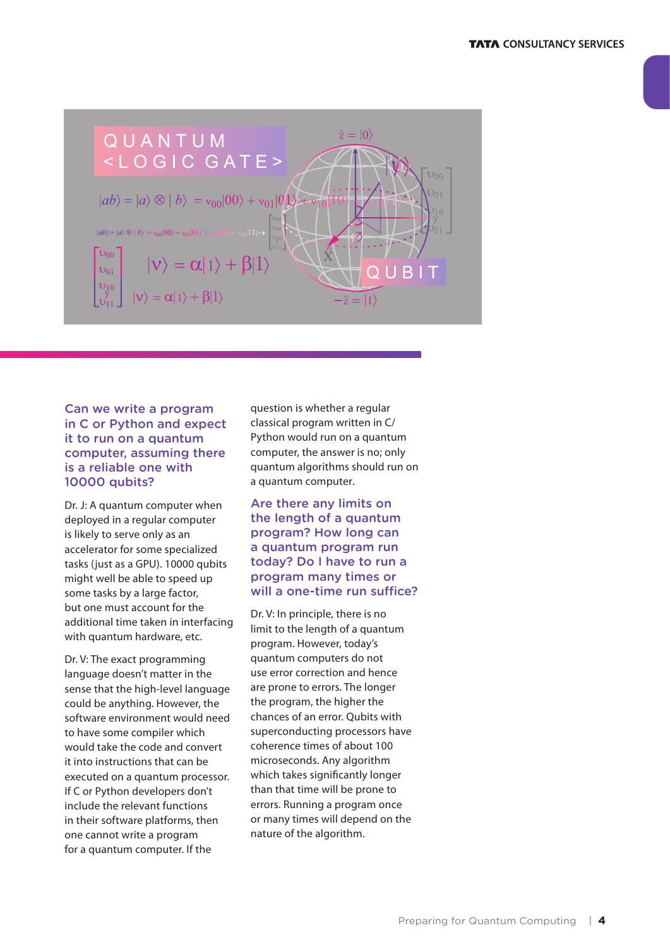

#### Can we write a program in C or Python and expect it to run on a quantum computer, assuming there is a reliable one with 10000 qubits?

Dr. J: A quantum computer when deployed in a regular computer is likely to serve only as an accelerator for some specialized tasks (just as a GPU). 10000 qubits might well be able to speed up some tasks by a large factor, but one must account for the additional time taken in interfacing with quantum hardware, etc.

Dr. V: The exact programming language doesn't matter in the sense that the high-level language could be anything. However, the software environment would need to have some compiler which would take the code and convert it into instructions that can be executed on a quantum processor. If C or Python developers don't include the relevant functions in their software platforms, then one cannot write a program for a quantum computer. If the

question is whether a regular classical program written in C/ Python would run on a quantum computer, the answer is no; only quantum algorithms should run on a quantum computer*.*

#### Are there any limits on the length of a quantum program? How long can a quantum program run today? Do I have to run a program many times or will a one-time run suffice?

Dr. V: In principle, there is no limit to the length of a quantum program. However, today's quantum computers do not use error correction and hence are prone to errors. The longer the program, the higher the chances of an error. Qubits with superconducting processors have coherence times of about 100 microseconds. Any algorithm which takes significantly longer than that time will be prone to errors. Running a program once or many times will depend on the nature of the algorithm.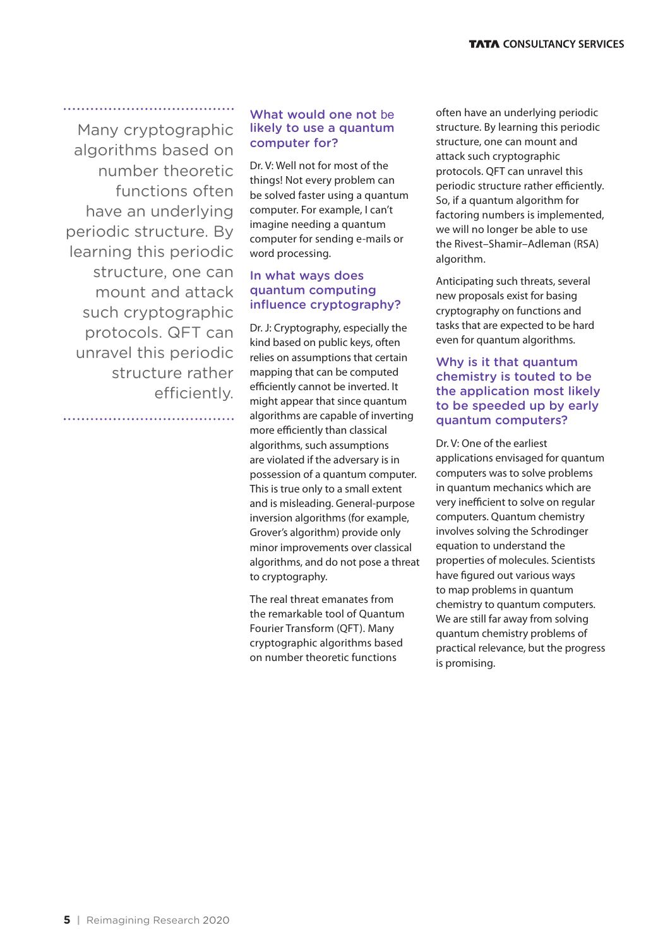Many cryptographic algorithms based on number theoretic functions often have an underlying periodic structure. By learning this periodic structure, one can mount and attack such cryptographic protocols. QFT can unravel this periodic structure rather efficiently.

.....................................

#### What would one not be likely to use a quantum computer for?

Dr. V: Well not for most of the things! Not every problem can be solved faster using a quantum computer. For example, I can't imagine needing a quantum computer for sending e-mails or word processing.

#### In what ways does quantum computing influence cryptography?

Dr. J: Cryptography, especially the kind based on public keys, often relies on assumptions that certain mapping that can be computed efficiently cannot be inverted. It might appear that since quantum algorithms are capable of inverting more efficiently than classical algorithms, such assumptions are violated if the adversary is in possession of a quantum computer. This is true only to a small extent and is misleading. General-purpose inversion algorithms (for example, Grover's algorithm) provide only minor improvements over classical algorithms, and do not pose a threat to cryptography.

The real threat emanates from the remarkable tool of Quantum Fourier Transform (QFT). Many cryptographic algorithms based on number theoretic functions

often have an underlying periodic structure. By learning this periodic structure, one can mount and attack such cryptographic protocols. QFT can unravel this periodic structure rather efficiently. So, if a quantum algorithm for factoring numbers is implemented, we will no longer be able to use the Rivest–Shamir–Adleman (RSA) algorithm.

Anticipating such threats, several new proposals exist for basing cryptography on functions and tasks that are expected to be hard even for quantum algorithms.

#### Why is it that quantum chemistry is touted to be the application most likely to be speeded up by early quantum computers?

Dr. V: One of the earliest applications envisaged for quantum computers was to solve problems in quantum mechanics which are very inefficient to solve on regular computers. Quantum chemistry involves solving the Schrodinger equation to understand the properties of molecules. Scientists have figured out various ways to map problems in quantum chemistry to quantum computers. We are still far away from solving quantum chemistry problems of practical relevance, but the progress is promising.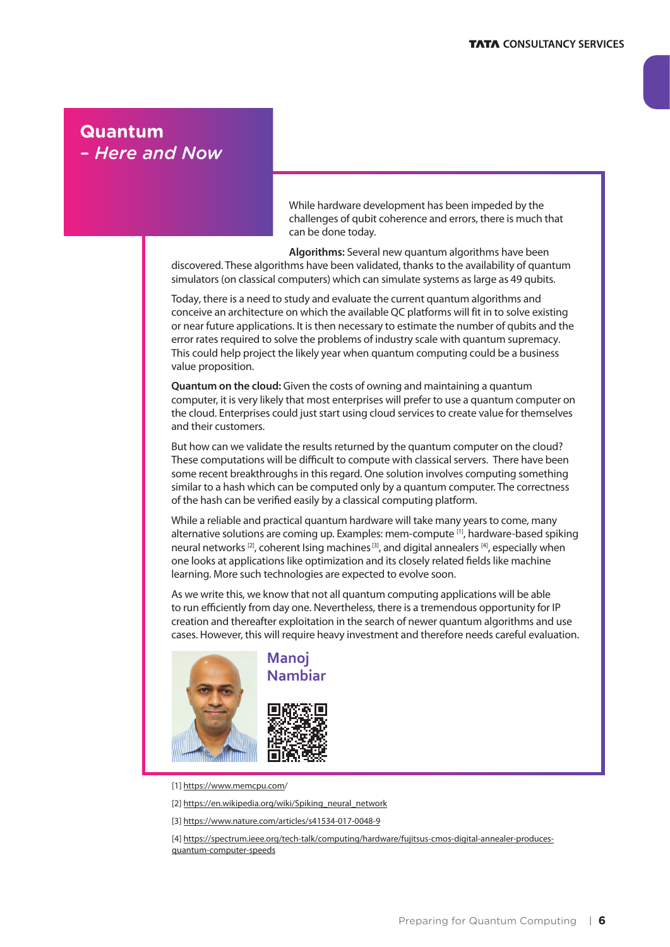#### **Quantum**  *– Here and Now*

While hardware development has been impeded by the challenges of qubit coherence and errors, there is much that can be done today.

**Algorithms:** Several new quantum algorithms have been discovered. These algorithms have been validated, thanks to the availability of quantum simulators (on classical computers) which can simulate systems as large as 49 qubits.

Today, there is a need to study and evaluate the current quantum algorithms and conceive an architecture on which the available QC platforms will fit in to solve existing or near future applications. It is then necessary to estimate the number of qubits and the error rates required to solve the problems of industry scale with quantum supremacy. This could help project the likely year when quantum computing could be a business value proposition.

**Quantum on the cloud:** Given the costs of owning and maintaining a quantum computer, it is very likely that most enterprises will prefer to use a quantum computer on the cloud. Enterprises could just start using cloud services to create value for themselves and their customers.

But how can we validate the results returned by the quantum computer on the cloud? These computations will be difficult to compute with classical servers. There have been some recent breakthroughs in this regard. One solution involves computing something similar to a hash which can be computed only by a quantum computer. The correctness of the hash can be verified easily by a classical computing platform.

While a reliable and practical quantum hardware will take many years to come, many alternative solutions are coming up. Examples: mem-compute [1], hardware-based spiking neural networks <sup>[2]</sup>, coherent Ising machines<sup>[3]</sup>, and digital annealers <sup>[4]</sup>, especially when one looks at applications like optimization and its closely related fields like machine learning. More such technologies are expected to evolve soon.

As we write this, we know that not all quantum computing applications will be able to run efficiently from day one. Nevertheless, there is a tremendous opportunity for IP creation and thereafter exploitation in the search of newer quantum algorithms and use cases. However, this will require heavy investment and therefore needs careful evaluation.



[1] [https://www.memcpu.com/](https://www.memcpu.com)

- [2] [https://en.wikipedia.org/wiki/Spiking\\_neural\\_network](https://en.wikipedia.org/wiki/Spiking_neural_network)
- [3]<https://www.nature.com/articles/s41534-017-0048-9>

[4] [https://spectrum.ieee.org/tech-talk/computing/hardware/fujitsus-cmos-digital-annealer-produces](https://spectrum.ieee.org/tech-talk/computing/hardware/fujitsus-cmos-digital-annealer-produces-quantum-computer-speeds)[quantum-computer-speeds](https://spectrum.ieee.org/tech-talk/computing/hardware/fujitsus-cmos-digital-annealer-produces-quantum-computer-speeds)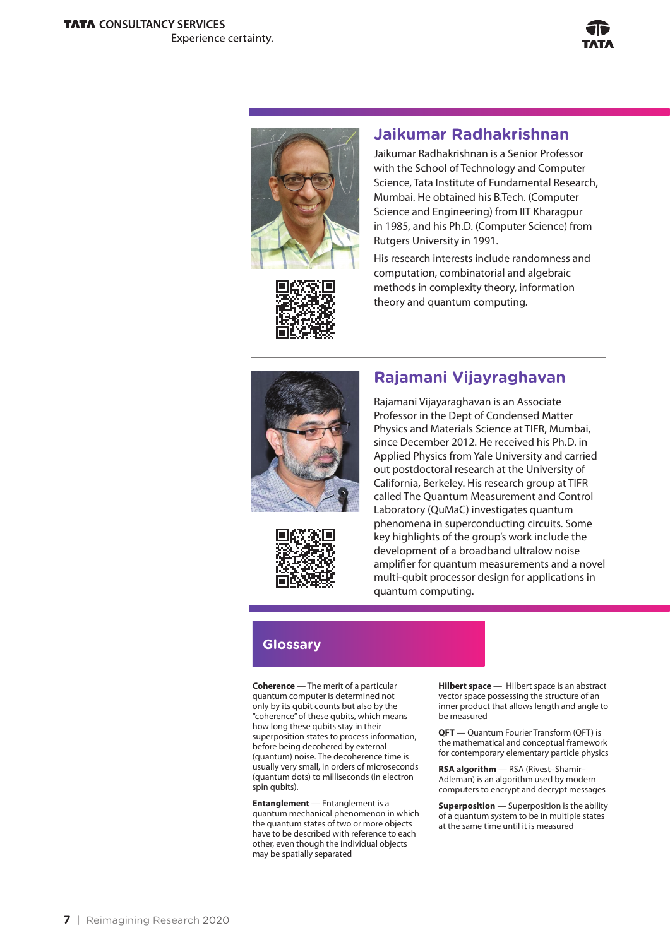



#### **Jaikumar Radhakrishnan**

Jaikumar Radhakrishnan is a Senior Professor with the School of Technology and Computer Science, Tata Institute of Fundamental Research, Mumbai. He obtained his B.Tech. (Computer Science and Engineering) from IIT Kharagpur in 1985, and his Ph.D. (Computer Science) from Rutgers University in 1991.

His research interests include randomness and computation, combinatorial and algebraic methods in complexity theory, information theory and quantum computing.



### **Rajamani Vijayraghavan**



Rajamani Vijayaraghavan is an Associate Professor in the Dept of Condensed Matter Physics and Materials Science at TIFR, Mumbai, since December 2012. He received his Ph.D. in Applied Physics from Yale University and carried out postdoctoral research at the University of California, Berkeley. His research group at TIFR called The Quantum Measurement and Control Laboratory (QuMaC) investigates quantum phenomena in superconducting circuits. Some key highlights of the group's work include the development of a broadband ultralow noise amplifier for quantum measurements and a novel multi-qubit processor design for applications in quantum computing.

## **Glossary**

**Coherence** — The merit of a particular quantum computer is determined not only by its qubit counts but also by the "coherence" of these qubits, which means how long these qubits stay in their superposition states to process information, before being decohered by external (quantum) noise. The decoherence time is usually very small, in orders of microseconds (quantum dots) to milliseconds (in electron spin qubits).

**Entanglement** — Entanglement is a quantum mechanical phenomenon in which the quantum states of two or more objects have to be described with reference to each other, even though the individual objects may be spatially separated

**Hilbert space** — Hilbert space is an abstract vector space possessing the structure of an inner product that allows length and angle to be measured

**QFT** — Quantum Fourier Transform (QFT) is the mathematical and conceptual framework for contemporary elementary particle physics

**RSA algorithm** — RSA (Rivest–Shamir– Adleman) is an algorithm used by modern computers to encrypt and decrypt messages

**Superposition** — Superposition is the ability of a quantum system to be in multiple states at the same time until it is measured